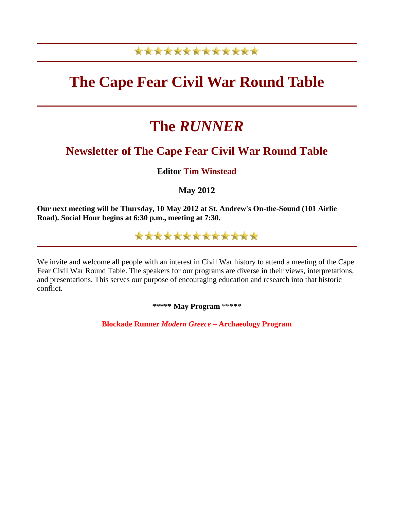# \*\*\*\*\*\*\*\*\*\*\*\*\*

# **The Cape Fear Civil War Round Table**

# **The** *RUNNER*

# **Newsletter of The Cape Fear Civil War Round Table**

**Editor Tim Winstead**

**May 2012** 

**Our next meeting will be Thursday, 10 May 2012 at St. Andrew's On-the-Sound (101 Airlie Road). Social Hour begins at 6:30 p.m., meeting at 7:30.**

\*\*\*\*\*\*\*\*\*\*\*\*\*

We invite and welcome all people with an interest in Civil War history to attend a meeting of the Cape Fear Civil War Round Table. The speakers for our programs are diverse in their views, interpretations, and presentations. This serves our purpose of encouraging education and research into that historic conflict.

**\*\*\*\*\* May Program** \*\*\*\*\*

**Blockade Runner** *Modern Greece –* **Archaeology Program**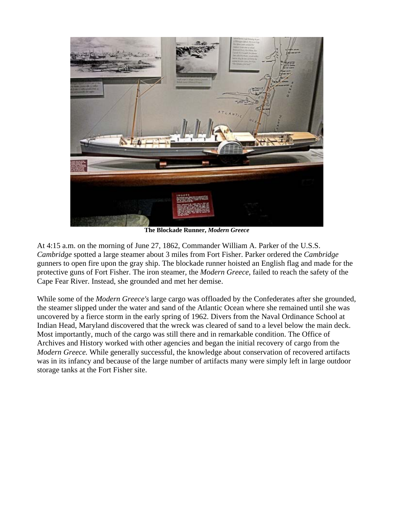

**The Blockade Runner,** *Modern Greece*

At 4:15 a.m. on the morning of June 27, 1862, Commander William A. Parker of the U.S.S. *Cambridge* spotted a large steamer about 3 miles from Fort Fisher. Parker ordered the *Cambridge*  gunners to open fire upon the gray ship. The blockade runner hoisted an English flag and made for the protective guns of Fort Fisher. The iron steamer, the *Modern Greece,* failed to reach the safety of the Cape Fear River. Instead, she grounded and met her demise.

While some of the *Modern Greece's* large cargo was offloaded by the Confederates after she grounded, the steamer slipped under the water and sand of the Atlantic Ocean where she remained until she was uncovered by a fierce storm in the early spring of 1962. Divers from the Naval Ordinance School at Indian Head, Maryland discovered that the wreck was cleared of sand to a level below the main deck. Most importantly, much of the cargo was still there and in remarkable condition. The Office of Archives and History worked with other agencies and began the initial recovery of cargo from the *Modern Greece.* While generally successful, the knowledge about conservation of recovered artifacts was in its infancy and because of the large number of artifacts many were simply left in large outdoor storage tanks at the Fort Fisher site.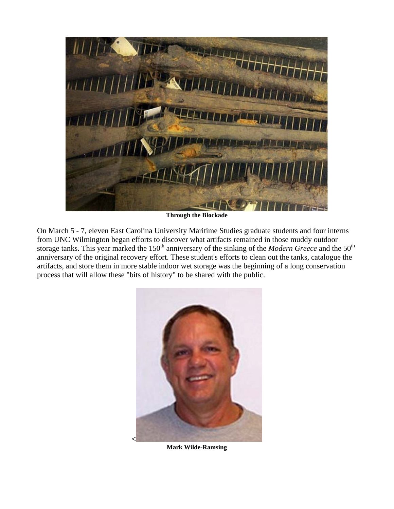

**Through the Blockade**

On March 5 - 7*,* eleven East Carolina University Maritime Studies graduate students and four interns from UNC Wilmington began efforts to discover what artifacts remained in those muddy outdoor storage tanks. This year marked the 150<sup>th</sup> anniversary of the sinking of the *Modern Greece* and the 50<sup>th</sup> anniversary of the original recovery effort. These student's efforts to clean out the tanks, catalogue the artifacts, and store them in more stable indoor wet storage was the beginning of a long conservation process that will allow these "bits of history" to be shared with the public.



**Mark Wilde-Ramsing**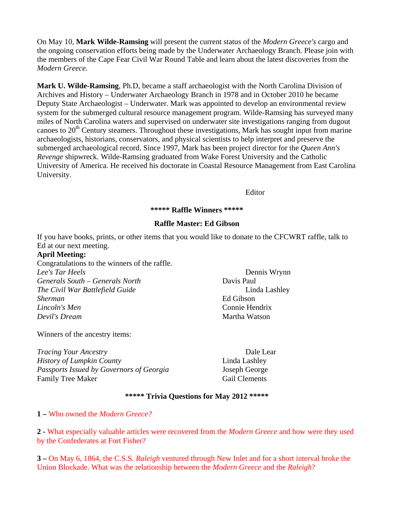On May 10, **Mark Wilde-Ramsing** will present the current status of the *Modern Greece's* cargo and the ongoing conservation efforts being made by the Underwater Archaeology Branch. Please join with the members of the Cape Fear Civil War Round Table and learn about the latest discoveries from the *Modern Greece.* 

**Mark U. Wilde-Ramsing**, Ph.D, became a staff archaeologist with the North Carolina Division of Archives and History – Underwater Archaeology Branch in 1978 and in October 2010 he became Deputy State Archaeologist – Underwater. Mark was appointed to develop an environmental review system for the submerged cultural resource management program. Wilde-Ramsing has surveyed many miles of North Carolina waters and supervised on underwater site investigations ranging from dugout canoes to  $20<sup>th</sup>$  Century steamers. Throughout these investigations, Mark has sought input from marine archaeologists, historians, conservators, and physical scientists to help interpret and preserve the submerged archaeological record. Since 1997, Mark has been project director for the *Queen Ann's Revenge* shipwreck. Wilde-Ramsing graduated from Wake Forest University and the Catholic University of America. He received his doctorate in Coastal Resource Management from East Carolina University.

Editor

#### **\*\*\*\*\* Raffle Winners \*\*\*\*\***

#### **Raffle Master: Ed Gibson**

If you have books, prints, or other items that you would like to donate to the CFCWRT raffle, talk to Ed at our next meeting.

### **April Meeting:**

Congratulations to the winners of the raffle. *Lee's Tar Heels* Dennis Wrynn *Generals South – Generals North* Davis Paul *The Civil War Battlefield Guide* Linda Lashley *Sherman* Ed Gibson *Lincoln's Men* Connie Hendrix *Devil's Dream* **Martha Watson** 

Winners of the ancestry items:

*Tracing Your Ancestry* Dale Lear *History of Lumpkin County* **Linda Lashley** *Passports Issued by Governors of Georgia* Joseph George Family Tree Maker Gail Clements

#### **\*\*\*\*\* Trivia Questions for May 2012 \*\*\*\*\***

#### **1 –** Who owned the *Modern Greece?*

**2 -** What especially valuable articles were recovered from the *Modern Greece* and how were they used by the Confederates at Fort Fisher?

**3 –** On May 6, 1864, the C.S.S. *Raleigh* ventured through New Inlet and for a short interval broke the Union Blockade. What was the relationship between the *Modern Greece* and the *Raleigh*?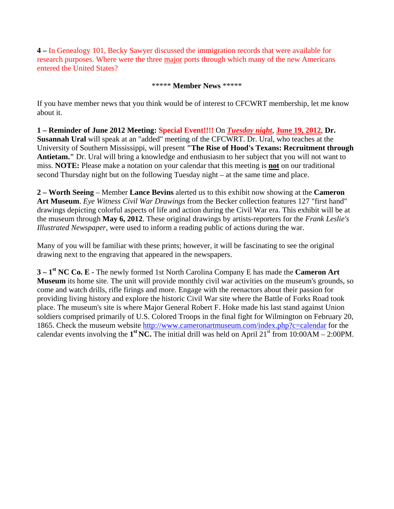**4 –** In Genealogy 101, Becky Sawyer discussed the immigration records that were available for research purposes. Where were the three major ports through which many of the new Americans entered the United States?

\*\*\*\*\* **Member News** \*\*\*\*\*

If you have member news that you think would be of interest to CFCWRT membership, let me know about it.

**1 – Reminder of June 2012 Meeting: Special Event!!!!** On *Tuesday night*, **June 19, 2012**, **Dr. Susannah Ural** will speak at an "added" meeting of the CFCWRT. Dr. Ural, who teaches at the University of Southern Mississippi, will present **"The Rise of Hood's Texans: Recruitment through Antietam."** Dr. Ural will bring a knowledge and enthusiasm to her subject that you will not want to miss. **NOTE:** Please make a notation on your calendar that this meeting is **not** on our traditional second Thursday night but on the following Tuesday night – at the same time and place.

**2 – Worth Seeing** – Member **Lance Bevins** alerted us to this exhibit now showing at the **Cameron Art Museum**. *Eye Witness Civil War Drawings* from the Becker collection features 127 "first hand" drawings depicting colorful aspects of life and action during the Civil War era. This exhibit will be at the museum through **May 6, 2012**. These original drawings by artists-reporters for the *Frank Leslie's Illustrated Newspaper,* were used to inform a reading public of actions during the war.

Many of you will be familiar with these prints; however, it will be fascinating to see the original drawing next to the engraving that appeared in the newspapers.

**3 – 1st NC Co. E -** The newly formed 1st North Carolina Company E has made the **Cameron Art Museum** its home site. The unit will provide monthly civil war activities on the museum's grounds, so come and watch drills, rifle firings and more. Engage with the reenactors about their passion for providing living history and explore the historic Civil War site where the Battle of Forks Road took place. The museum's site is where Major General Robert F. Hoke made his last stand against Union soldiers comprised primarily of U.S. Colored Troops in the final fight for Wilmington on February 20, 1865. Check the museum website<http://www.cameronartmuseum.com/index.php?c=calendar> for the calendar events involving the  $1<sup>st</sup> NC$ . The initial drill was held on April 21<sup>st</sup> from 10:00AM – 2:00PM.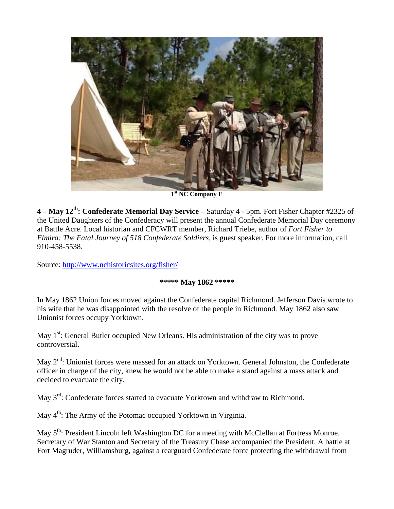

**1st NC Company E**

**4 – May 12th: Confederate Memorial Day Service –** Saturday 4 - 5pm. Fort Fisher Chapter #2325 of the United Daughters of the Confederacy will present the annual Confederate Memorial Day ceremony at Battle Acre. Local historian and CFCWRT member, Richard Triebe, author of *Fort Fisher to Elmira: The Fatal Journey of 518 Confederate Soldiers*, is guest speaker. For more information, call 910-458-5538.

Source:<http://www.nchistoricsites.org/fisher/>

## **\*\*\*\*\* May 1862 \*\*\*\*\***

In May 1862 Union forces moved against the Confederate capital Richmond. Jefferson Davis wrote to his wife that he was disappointed with the resolve of the people in Richmond. May 1862 also saw Unionist forces occupy Yorktown.

May 1<sup>st</sup>: General Butler occupied New Orleans. His administration of the city was to prove controversial.

May 2<sup>nd</sup>: Unionist forces were massed for an attack on Yorktown. General Johnston, the Confederate officer in charge of the city, knew he would not be able to make a stand against a mass attack and decided to evacuate the city.

May 3<sup>rd</sup>: Confederate forces started to evacuate Yorktown and withdraw to Richmond.

May  $4<sup>th</sup>$ : The Army of the Potomac occupied Yorktown in Virginia.

May 5<sup>th</sup>: President Lincoln left Washington DC for a meeting with McClellan at Fortress Monroe. Secretary of War Stanton and Secretary of the Treasury Chase accompanied the President. A battle at Fort Magruder, Williamsburg, against a rearguard Confederate force protecting the withdrawal from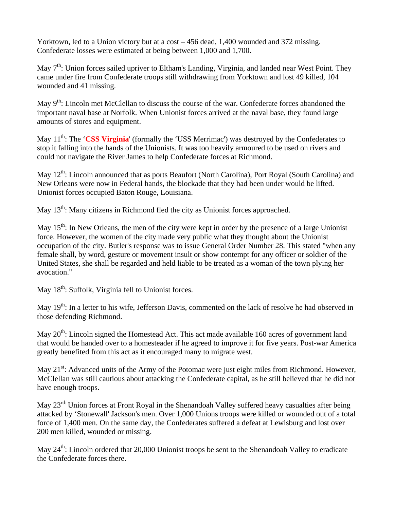Yorktown, led to a Union victory but at a cost – 456 dead, 1,400 wounded and 372 missing. Confederate losses were estimated at being between 1,000 and 1,700.

May 7<sup>th</sup>: Union forces sailed upriver to Eltham's Landing, Virginia, and landed near West Point. They came under fire from Confederate troops still withdrawing from Yorktown and lost 49 killed, 104 wounded and 41 missing.

May 9<sup>th</sup>: Lincoln met McClellan to discuss the course of the war. Confederate forces abandoned the important naval base at Norfolk. When Unionist forces arrived at the naval base, they found large amounts of stores and equipment.

May 11<sup>th</sup>: The 'CSS Virginia' (formally the 'USS Merrimac') was destroyed by the Confederates to stop it falling into the hands of the Unionists. It was too heavily armoured to be used on rivers and could not navigate the River James to help Confederate forces at Richmond.

May  $12^{th}$ : Lincoln announced that as ports Beaufort (North Carolina), Port Royal (South Carolina) and New Orleans were now in Federal hands, the blockade that they had been under would be lifted. Unionist forces occupied Baton Rouge, Louisiana.

May  $13<sup>th</sup>$ : Many citizens in Richmond fled the city as Unionist forces approached.

May  $15<sup>th</sup>$ : In New Orleans, the men of the city were kept in order by the presence of a large Unionist force. However, the women of the city made very public what they thought about the Unionist occupation of the city. Butler's response was to issue General Order Number 28. This stated "when any female shall, by word, gesture or movement insult or show contempt for any officer or soldier of the United States, she shall be regarded and held liable to be treated as a woman of the town plying her avocation."

May 18<sup>th</sup>: Suffolk, Virginia fell to Unionist forces.

May 19<sup>th</sup>: In a letter to his wife, Jefferson Davis, commented on the lack of resolve he had observed in those defending Richmond.

May  $20<sup>th</sup>$ : Lincoln signed the Homestead Act. This act made available 160 acres of government land that would be handed over to a homesteader if he agreed to improve it for five years. Post-war America greatly benefited from this act as it encouraged many to migrate west.

May 21<sup>st</sup>: Advanced units of the Army of the Potomac were just eight miles from Richmond. However, McClellan was still cautious about attacking the Confederate capital, as he still believed that he did not have enough troops.

May 23<sup>rd:</sup> Union forces at Front Royal in the Shenandoah Valley suffered heavy casualties after being attacked by 'Stonewall' Jackson's men. Over 1,000 Unions troops were killed or wounded out of a total force of 1,400 men. On the same day, the Confederates suffered a defeat at Lewisburg and lost over 200 men killed, wounded or missing.

May  $24^{th}$ : Lincoln ordered that 20,000 Unionist troops be sent to the Shenandoah Valley to eradicate the Confederate forces there.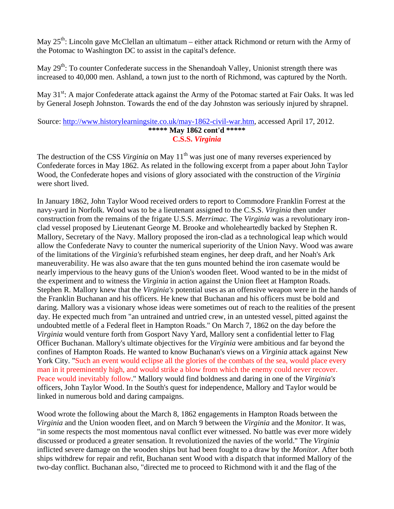May  $25<sup>th</sup>$ : Lincoln gave McClellan an ultimatum – either attack Richmond or return with the Army of the Potomac to Washington DC to assist in the capital's defence.

May  $29<sup>th</sup>$ : To counter Confederate success in the Shenandoah Valley, Unionist strength there was increased to 40,000 men. Ashland, a town just to the north of Richmond, was captured by the North.

May  $31<sup>st</sup>$ : A major Confederate attack against the Army of the Potomac started at Fair Oaks. It was led by General Joseph Johnston. Towards the end of the day Johnston was seriously injured by shrapnel.

#### Source: <http://www.historylearningsite.co.uk/may-1862-civil-war.htm>, accessed April 17, 2012. **\*\*\*\*\* May 1862 cont'd \*\*\*\*\* C.S.S.** *Virginia*

The destruction of the CSS *Virginia* on May 11<sup>th</sup> was just one of many reverses experienced by Confederate forces in May 1862. As related in the following excerpt from a paper about John Taylor Wood, the Confederate hopes and visions of glory associated with the construction of the *Virginia*  were short lived.

In January 1862, John Taylor Wood received orders to report to Commodore Franklin Forrest at the navy-yard in Norfolk. Wood was to be a lieutenant assigned to the C.S.S. *Virginia* then under construction from the remains of the frigate U.S.S. *Merrimac.* The *Virginia* was a revolutionary ironclad vessel proposed by Lieutenant George M. Brooke and wholeheartedly backed by Stephen R. Mallory, Secretary of the Navy. Mallory proposed the iron-clad as a technological leap which would allow the Confederate Navy to counter the numerical superiority of the Union Navy. Wood was aware of the limitations of the *Virginia's* refurbished steam engines, her deep draft, and her Noah's Ark maneuverability. He was also aware that the ten guns mounted behind the iron casemate would be nearly impervious to the heavy guns of the Union's wooden fleet. Wood wanted to be in the midst of the experiment and to witness the *Virginia* in action against the Union fleet at Hampton Roads. Stephen R. Mallory knew that the *Virginia's* potential uses as an offensive weapon were in the hands of the Franklin Buchanan and his officers. He knew that Buchanan and his officers must be bold and daring. Mallory was a visionary whose ideas were sometimes out of reach to the realities of the present day. He expected much from "an untrained and untried crew, in an untested vessel, pitted against the undoubted mettle of a Federal fleet in Hampton Roads." On March 7, 1862 on the day before the *Virginia* would venture forth from Gosport Navy Yard, Mallory sent a confidential letter to Flag Officer Buchanan. Mallory's ultimate objectives for the *Virginia* were ambitious and far beyond the confines of Hampton Roads. He wanted to know Buchanan's views on a *Virginia* attack against New York City. "Such an event would eclipse all the glories of the combats of the sea, would place every man in it preeminently high, and would strike a blow from which the enemy could never recover. Peace would inevitably follow." Mallory would find boldness and daring in one of the *Virginia's*  officers, John Taylor Wood. In the South's quest for independence, Mallory and Taylor would be linked in numerous bold and daring campaigns.

Wood wrote the following about the March 8, 1862 engagements in Hampton Roads between the *Virginia* and the Union wooden fleet, and on March 9 between the *Virginia* and the *Monitor*. It was, "in some respects the most momentous naval conflict ever witnessed. No battle was ever more widely discussed or produced a greater sensation. It revolutionized the navies of the world." The *Virginia* inflicted severe damage on the wooden ships but had been fought to a draw by the *Monitor.* After both ships withdrew for repair and refit, Buchanan sent Wood with a dispatch that informed Mallory of the two-day conflict. Buchanan also, "directed me to proceed to Richmond with it and the flag of the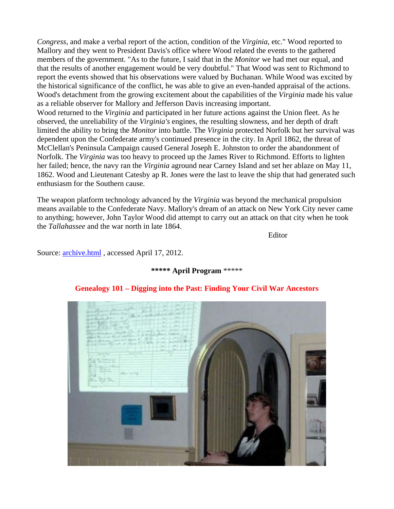*Congress*, and make a verbal report of the action, condition of the *Virginia*, etc." Wood reported to Mallory and they went to President Davis's office where Wood related the events to the gathered members of the government. "As to the future, I said that in the *Monitor* we had met our equal, and that the results of another engagement would be very doubtful." That Wood was sent to Richmond to report the events showed that his observations were valued by Buchanan. While Wood was excited by the historical significance of the conflict, he was able to give an even-handed appraisal of the actions. Wood's detachment from the growing excitement about the capabilities of the *Virginia* made his value as a reliable observer for Mallory and Jefferson Davis increasing important. Wood returned to the *Virginia* and participated in her future actions against the Union fleet. As he

observed, the unreliability of the *Virginia's* engines, the resulting slowness, and her depth of draft limited the ability to bring the *Monitor* into battle. The *Virginia* protected Norfolk but her survival was dependent upon the Confederate army's continued presence in the city. In April 1862, the threat of McClellan's Peninsula Campaign caused General Joseph E. Johnston to order the abandonment of Norfolk. The *Virginia* was too heavy to proceed up the James River to Richmond. Efforts to lighten her failed; hence, the navy ran the *Virginia* aground near Carney Island and set her ablaze on May 11, 1862. Wood and Lieutenant Catesby ap R. Jones were the last to leave the ship that had generated such enthusiasm for the Southern cause.

The weapon platform technology advanced by the *Virginia* was beyond the mechanical propulsion means available to the Confederate Navy. Mallory's dream of an attack on New York City never came to anything; however, John Taylor Wood did attempt to carry out an attack on that city when he took the *Tallahassee* and the war north in late 1864.

Editor

Source: [archive.html](http://www.cfcwrt.org/Newsletters/archive.html) , accessed April 17, 2012.



### **\*\*\*\*\* April Program** \*\*\*\*\*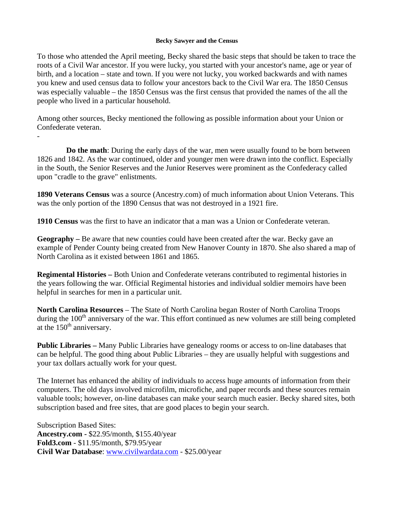#### **Becky Sawyer and the Census**

To those who attended the April meeting, Becky shared the basic steps that should be taken to trace the roots of a Civil War ancestor. If you were lucky, you started with your ancestor's name, age or year of birth, and a location – state and town. If you were not lucky, you worked backwards and with names you knew and used census data to follow your ancestors back to the Civil War era. The 1850 Census was especially valuable – the 1850 Census was the first census that provided the names of the all the people who lived in a particular household.

Among other sources, Becky mentioned the following as possible information about your Union or Confederate veteran.

 **Do the math**: During the early days of the war, men were usually found to be born between 1826 and 1842. As the war continued, older and younger men were drawn into the conflict. Especially in the South, the Senior Reserves and the Junior Reserves were prominent as the Confederacy called upon "cradle to the grave" enlistments.

**1890 Veterans Census** was a source (Ancestry.com) of much information about Union Veterans. This was the only portion of the 1890 Census that was not destroyed in a 1921 fire.

**1910 Census** was the first to have an indicator that a man was a Union or Confederate veteran.

**Geography –** Be aware that new counties could have been created after the war. Becky gave an example of Pender County being created from New Hanover County in 1870. She also shared a map of North Carolina as it existed between 1861 and 1865.

**Regimental Histories –** Both Union and Confederate veterans contributed to regimental histories in the years following the war. Official Regimental histories and individual soldier memoirs have been helpful in searches for men in a particular unit.

**North Carolina Resources** – The State of North Carolina began Roster of North Carolina Troops during the  $100<sup>th</sup>$  anniversary of the war. This effort continued as new volumes are still being completed at the  $150<sup>th</sup>$  anniversary.

**Public Libraries –** Many Public Libraries have genealogy rooms or access to on-line databases that can be helpful. The good thing about Public Libraries – they are usually helpful with suggestions and your tax dollars actually work for your quest.

The Internet has enhanced the ability of individuals to access huge amounts of information from their computers. The old days involved microfilm, microfiche, and paper records and these sources remain valuable tools; however, on-line databases can make your search much easier. Becky shared sites, both subscription based and free sites, that are good places to begin your search.

Subscription Based Sites: **Ancestry.com -** \$22.95/month, \$155.40/year **Fold3.com** - \$11.95/month, \$79.95/year **Civil War Database**: [www.civilwardata.com](http://www.civilwardata.com/) - \$25.00/year

-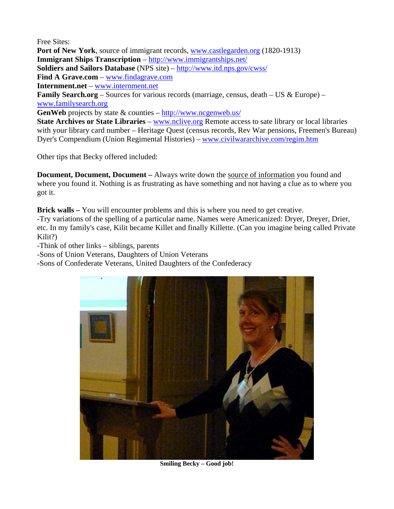Free Sites: **Port of New York**, source of immigrant records, [www.castlegarden.org](http://www.castlegarden.org/) (1820-1913) **Immigrant Ships Transcription** – <http://www.immigrantships.net/> **Soldiers and Sailors Database** (NPS site) – <http://www.itd.nps.gov/cwss/> **Find A Grave.com** – [www.findagrave.com](http://www.findagrave.com/) **Internment.net** – [www.internment.net](http://www.internment.net/) **Family Search.org** – Sources for various records (marriage, census, death – US & Europe) – [www.familysearch.org](http://www.familysearch.org/) **GenWeb** projects by state & counties –<http://www.ncgenweb.us/> **State Archives or State Libraries** – [www.nclive.org](http://www.nclive.org/) Remote access to sate library or local libraries with your library card number – Heritage Quest (census records, Rev War pensions, Freemen's Bureau) Dyer's Compendium (Union Regimental Histories) – [www.civilwararchive.com/regim.htm](http://www.civilwararchive.com/regim.htm)

Other tips that Becky offered included:

**Document, Document, Document –** Always write down the source of information you found and where you found it. Nothing is as frustrating as have something and not having a clue as to where you got it.

**Brick walls –** You will encounter problems and this is where you need to get creative. -Try variations of the spelling of a particular name. Names were Americanized: Dryer, Dreyer, Drier, etc. In my family's case, Kilit became Killet and finally Killette. (Can you imagine being called Private Kilit?)

-Think of other links – siblings, parents

-Sons of Union Veterans, Daughters of Union Veterans

-Sons of Confederate Veterans, United Daughters of the Confederacy



**Smiling Becky – Good job!**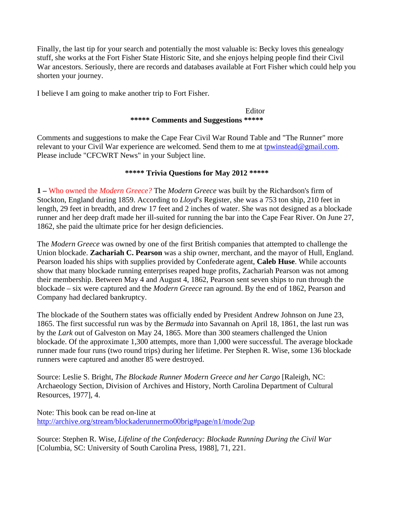Finally, the last tip for your search and potentially the most valuable is: Becky loves this genealogy stuff, she works at the Fort Fisher State Historic Site, and she enjoys helping people find their Civil War ancestors. Seriously, there are records and databases available at Fort Fisher which could help you shorten your journey.

I believe I am going to make another trip to Fort Fisher.

#### Editor **\*\*\*\*\* Comments and Suggestions \*\*\*\*\***

Comments and suggestions to make the Cape Fear Civil War Round Table and "The Runner" more relevant to your Civil War experience are welcomed. Send them to me at [tpwinstead@gmail.com.](mailto:tpwinstead@gmail.com) Please include "CFCWRT News" in your Subject line.

### **\*\*\*\*\* Trivia Questions for May 2012 \*\*\*\*\***

**1 –** Who owned the *Modern Greece?* The *Modern Greece* was built by the Richardson's firm of Stockton, England during 1859. According to *Lloyd's* Register, she was a 753 ton ship, 210 feet in length, 29 feet in breadth, and drew 17 feet and 2 inches of water. She was not designed as a blockade runner and her deep draft made her ill-suited for running the bar into the Cape Fear River. On June 27, 1862, she paid the ultimate price for her design deficiencies.

The *Modern Greece* was owned by one of the first British companies that attempted to challenge the Union blockade. **Zachariah C. Pearson** was a ship owner, merchant, and the mayor of Hull, England. Pearson loaded his ships with supplies provided by Confederate agent, **Caleb Huse**. While accounts show that many blockade running enterprises reaped huge profits, Zachariah Pearson was not among their membership. Between May 4 and August 4, 1862, Pearson sent seven ships to run through the blockade – six were captured and the *Modern Greece* ran aground. By the end of 1862, Pearson and Company had declared bankruptcy.

The blockade of the Southern states was officially ended by President Andrew Johnson on June 23, 1865. The first successful run was by the *Bermuda* into Savannah on April 18, 1861, the last run was by the *Lark* out of Galveston on May 24, 1865. More than 300 steamers challenged the Union blockade. Of the approximate 1,300 attempts, more than 1,000 were successful. The average blockade runner made four runs (two round trips) during her lifetime. Per Stephen R. Wise, some 136 blockade runners were captured and another 85 were destroyed.

Source: Leslie S. Bright, *The Blockade Runner Modern Greece and her Cargo* [Raleigh, NC: Archaeology Section, Division of Archives and History, North Carolina Department of Cultural Resources, 1977], 4.

Note: This book can be read on-line at <http://archive.org/stream/blockaderunnermo00brig#page/n1/mode/2up>

Source: Stephen R. Wise, *Lifeline of the Confederacy: Blockade Running During the Civil War*  [Columbia, SC: University of South Carolina Press, 1988], 71, 221.